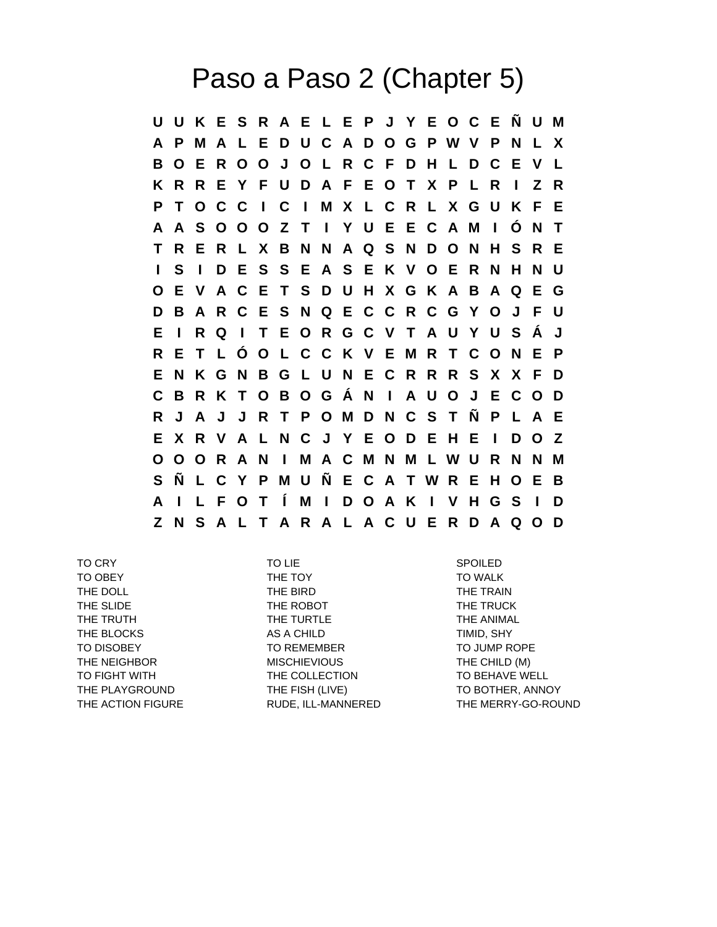## Paso a Paso 2 (Chapter 5)

**U U K E S R A E L E P J Y E O C E Ñ U M A P M A L E D U C A D O G P W V P N L X B O E R O O J O L R C F D H L D C E V L K R R E Y F U D A F E O T X P L R I Z R P T O C C I C I M X L C R L X G U K F E A A S O O O Z T I Y U E E C A M I Ó N T T R E R L X B N N A Q S N D O N H S R E I S I D E S S E A S E K V O E R N H N U O E V A C E T S D U H X G K A B A Q E G D B A R C E S N Q E C C R C G Y O J F U E I R Q I T E O R G C V T A U Y U S Á J R E T L Ó O L C C K V E M R T C O N E P E N K G N B G L U N E C R R R S X X F D C B R K T O B O G Á N I A U O J E C O D R J A J J R T P O M D N C S T Ñ P L A E E X R V A L N C J Y E O D E H E I D O Z O O O R A N I M A C M N M L W U R N N M S Ñ L C Y P M U Ñ E C A T W R E H O E B A I L F O T Í M I D O A K I V H G S I D Z N S A L T A R A L A C U E R D A Q O D**

TO CRY TO LIE SPOILED TO OBEY THE TOY THE TOY TO WALK THE DOLL **THE BIRD** THE TRAIN THE SLIDE THE TRUCK THE ROBOT THE TRUCK THE TRUTH THE TURTLE TO THE TURTLE THE ANIMAL THE BLOCKS AS A CHILD THE BLOCKS AS A CHILD TO DISOBEY TO REMEMBER TO TO JUMP ROPE THE NEIGHBOR **MISCHIEVIOUS THE CHILD (M)** TO FIGHT WITH THE COLLECTION TO BEHAVE WELL THE PLAYGROUND THE FISH (LIVE) TO BOTHER, ANNOY

THE ACTION FIGURE RUDE, ILL-MANNERED THE MERRY-GO-ROUND